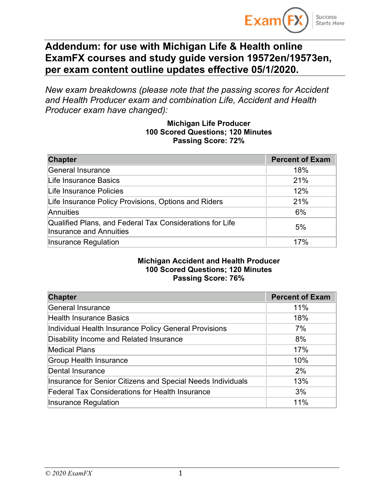

# **Addendum: for use with Michigan Life & Health online ExamFX courses and study guide version 19572en/19573en, per exam content outline updates effective 05/1/2020.**

*New exam breakdowns (please note that the passing scores for Accident and Health Producer exam and combination Life, Accident and Health Producer exam have changed):*

#### **Michigan Life Producer 100 Scored Questions; 120 Minutes Passing Score: 72%**

| <b>Chapter</b>                                                                             | <b>Percent of Exam</b> |
|--------------------------------------------------------------------------------------------|------------------------|
| General Insurance                                                                          | 18%                    |
| Life Insurance Basics                                                                      | 21%                    |
| Life Insurance Policies                                                                    | 12%                    |
| Life Insurance Policy Provisions, Options and Riders                                       | 21%                    |
| Annuities                                                                                  | 6%                     |
| Qualified Plans, and Federal Tax Considerations for Life<br><b>Insurance and Annuities</b> | 5%                     |
| Insurance Regulation                                                                       | 17%                    |

#### **Michigan Accident and Health Producer 100 Scored Questions; 120 Minutes Passing Score: 76%**

| <b>Chapter</b>                                              | <b>Percent of Exam</b> |
|-------------------------------------------------------------|------------------------|
| <b>General Insurance</b>                                    | 11%                    |
| <b>Health Insurance Basics</b>                              | 18%                    |
| Individual Health Insurance Policy General Provisions       | 7%                     |
| Disability Income and Related Insurance                     | 8%                     |
| <b>Medical Plans</b>                                        | 17%                    |
| <b>Group Health Insurance</b>                               | 10%                    |
| <b>Dental Insurance</b>                                     | 2%                     |
| Insurance for Senior Citizens and Special Needs Individuals | 13%                    |
| <b>Federal Tax Considerations for Health Insurance</b>      | 3%                     |
| <b>Insurance Regulation</b>                                 | 11%                    |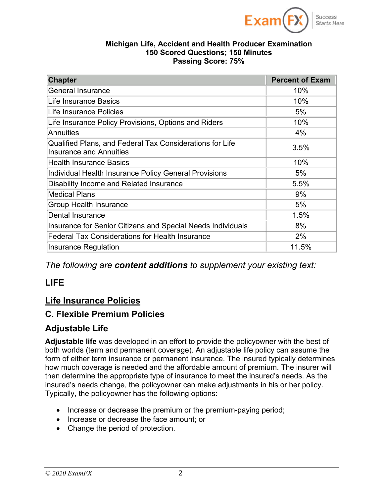

#### **Michigan Life, Accident and Health Producer Examination 150 Scored Questions; 150 Minutes Passing Score: 75%**

| <b>Chapter</b>                                                                             | <b>Percent of Exam</b> |
|--------------------------------------------------------------------------------------------|------------------------|
| <b>General Insurance</b>                                                                   | 10%                    |
| Life Insurance Basics                                                                      | 10%                    |
| Life Insurance Policies                                                                    | 5%                     |
| Life Insurance Policy Provisions, Options and Riders                                       | 10%                    |
| Annuities                                                                                  | 4%                     |
| Qualified Plans, and Federal Tax Considerations for Life<br><b>Insurance and Annuities</b> | 3.5%                   |
| <b>Health Insurance Basics</b>                                                             | 10%                    |
| Individual Health Insurance Policy General Provisions                                      | 5%                     |
| Disability Income and Related Insurance                                                    | 5.5%                   |
| <b>Medical Plans</b>                                                                       | 9%                     |
| <b>Group Health Insurance</b>                                                              | 5%                     |
| <b>Dental Insurance</b>                                                                    | 1.5%                   |
| Insurance for Senior Citizens and Special Needs Individuals                                | 8%                     |
| <b>Federal Tax Considerations for Health Insurance</b>                                     | 2%                     |
| Insurance Regulation                                                                       | 11.5%                  |

*The following are content additions to supplement your existing text:*

# **LIFE**

# **Life Insurance Policies**

# **C. Flexible Premium Policies**

# **Adjustable Life**

**Adjustable life** was developed in an effort to provide the policyowner with the best of both worlds (term and permanent coverage). An adjustable life policy can assume the form of either term insurance or permanent insurance. The insured typically determines how much coverage is needed and the affordable amount of premium. The insurer will then determine the appropriate type of insurance to meet the insured's needs. As the insured's needs change, the policyowner can make adjustments in his or her policy. Typically, the policyowner has the following options:

- Increase or decrease the premium or the premium-paying period;
- Increase or decrease the face amount; or
- Change the period of protection.